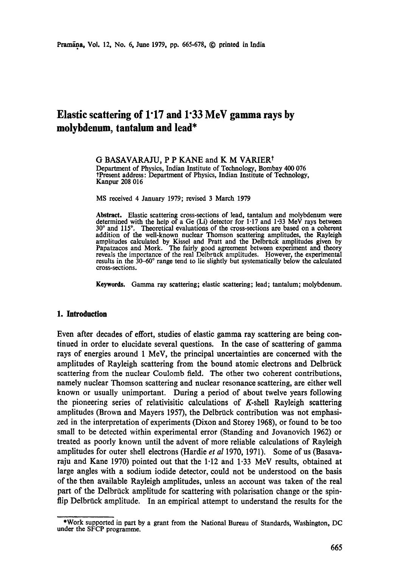# **Elastic scattering of 1"17 and 1"33 MeV gamma rays by molybdenum, tantalum and lead\***

G BASAVARAJU, P P KANE and K M VARIER<sup>†</sup> Department of Physics, Indian Institute of Technology, Bombay 400 076 ?Present address: Department of Physics, Indian Institute of Technology, Kanpur 208 016

MS received 4 January 1979; revised 3 March 1979

Abstract. Elastic scattering cross-sections of lead, tantalum and molybdenum were determined with the help of a Ge (Li) detector for  $1.17$  and  $1.33$  MeV rays between 30 ° and 115". Theoretical evaluations of the cross-sections are based on a coherent addition of the well-known nuclear Thomson scattering amplitudes, the Rayleigh amplitudes calculated by Kissel and Pratt and the Delbruck amplitudes given by Papatzacos and Mork. The fairly good agreement between experiment and theory reveals the importance of the real Delbruck amplitudes. However, the experimental results in the 30-60° range tend to lie slightly but systematically below the calculated cross-sections.

**Keywords.** Gamma ray scattering; elastic scattering; lead; tantalum; molybdenum.

# **1. Introduction**

Even after decades of effort, studies of elastic gamma ray scattering are being continued in order to elucidate several questions. In the case of scattering of gamma rays of energies around 1 MeV, the principal uncertainties are concerned with the amplitudes of Rayleigh scattering from the bound atomic electrons and Delbrück scattering from the nuclear Coulomb field. The other two coherent contributions, namely nuclear Thomson scattering and nuclear resonance scattering, are either well known or usually unimportant. During a period of about twelve years following the pioneering series of relativisitic calculations of  $K$ -shell Rayleigh scattering amplitudes (Brown and Mayers 1957), the Delbrück contribution was not emphasized in the interpretation of experiments (Dixon and Storey 1968), or found to be too small to be detected within experimental error (Standing and Jovanovich 1962) or treated as poorly known until the advent of more reliable calculations of Rayleigh amplitudes for outer shell electrons (Hardie *et al* 1970, 1971). Some of us (Basavaraju and Kane 1970) pointed out that the 1.12 and 1.33 MeV results, obtained at large angles with a sodium iodide detector, could not be understood on the basis of the then available Rayleigh amplitudes, unless an account was taken of the real part of the Delbrück amplitude for scattering with polarisation change or the spinflip Delbrück amplitude. In an empirical attempt to understand the results for the

<sup>\*</sup>Work supported in part by a grant from the National Bureau of Standards, Washington, DC under the SFCP programme.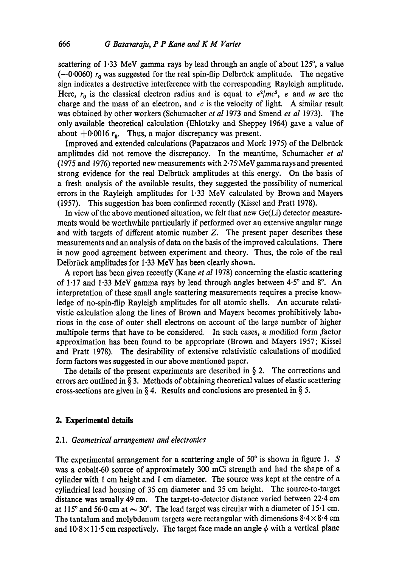scattering of 1.33 MeV gamma rays by lead through an angle of about 125°, a value  $(-0.0060)$  r<sub>0</sub> was suggested for the real spin-flip Delbrück amplitude. The negative sign indicates a destructive interference with the corresponding Rayleigh amplitude. Here,  $r_0$  is the classical electron radius and is equal to  $e^2/mc^2$ , e and m are the charge and the mass of an electron, and  $c$  is the velocity of light. A similar result was obtained by other workers (Schumacher *et al* 1973 and Smend *et al* 1973). The only available theoretical calculation (Ehlotzky and Sheppey 1964) gave a value of about  $+0.0016 r_0$ . Thus, a major discrepancy was present.

Improved and extended calculations (Papatzacos and Mork 1975) of the Delbriick amplitudes did not remove the discrepancy. In the meantime, Schumacher *et al*  (1975 and 1976) reported new measurements with 2-75"MeV gamma rays and presented strong evidence for the real Delbrück amplitudes at this energy. On the basis of a fresh analysis of the available results, they suggested the possibility of numerical errors in the Rayleigh amplitudes for 1.33 MeV calculated by Brown and Mayers (1957). This suggestion has been confirmed recently (Kissel and Pratt 1978).

In view of the above mentioned situation, we felt that new  $Ge(L)$  detector measurements would be worthwhile particularly if performed over an extensive angular range and with targets of different atomic number Z. The present paper describes these measurements and an analysis of data on the basis of the improved calculations. There is now good agreement between experiment and theory. Thus, the role of the real Delbrück amplitudes for 1.33 MeV has been clearly shown.

A report has been given recently (Kane *et al* 1978) concerning the elastic scattering of 1.17 and 1.33 MeV gamma rays by lead through angles between  $4.5^{\circ}$  and  $8^{\circ}$ . An interpretation of these small angle scattering measurements requires a precise knowledge of no-spin-flip Rayleigh amplitudes for all atomic shells. An accurate relativistic calculation along the lines of Brown and Mayers becomes prohibitively laborious in the case of outer shell electrons on account of the large number of higher multipole terms that have to be considered. In such cases, a modified form factor approximation has been found to be appropriate (Brown and Mayers 1957; Kissel and Pratt 1978). The desirability of extensive relativistic calculations of modified form factors was suggested in our above mentioned paper.

The details of the present experiments are described in  $\S$  2. The corrections and errors are outlined in  $\S$  3. Methods of obtaining theoretical values of elastic scattering cross-sections are given in  $\S 4$ . Results and conclusions are presented in  $\S 5$ .

# **2. Experimental details**

## *2.1. Geometrical arrangement and electronics*

The experimental arrangement for a scattering angle of  $50^{\circ}$  is shown in figure 1. S was a cobalt-60 source of approximately 300 mCi strength and had the shape of a cylinder with 1 cm height and 1 cm diameter. The source was kept at the centre of a cylindrical lead housing of 35 cm diameter and 35 cm height. The source-to-target distance was usually 49 cm. The target-to-detector distance varied between 22.4 cm at 115° and 56 $\cdot$ 0 cm at  $\sim$  30°. The lead target was circular with a diameter of 15 $\cdot$ 1 cm. The tantalum and molybdenum targets were rectangular with dimensions  $8.4 \times 8.4$  cm and  $10.8 \times 11.5$  cm respectively. The target face made an angle  $\phi$  with a vertical plane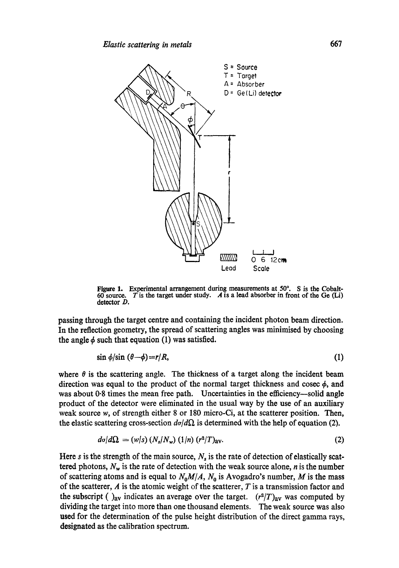

Figure 1. Experimental arrangement during measurements at  $50^\circ$ . S is the Cobalt-60 source. T is the target under study. A is a lead absorber in front of the Ge (Li)  $\overline{T}$  is the target under study. A is a lead absorber in front of the Ge (Li) detector D.

passing through the target centre and containing the incident photon beam direction. In the reflection geometry, the spread of scattering angles was minimised by choosing the angle  $\phi$  such that equation (1) was satisfied.

$$
\sin \phi / \sin (\theta - \phi) = r/R, \tag{1}
$$

where  $\theta$  is the scattering angle. The thickness of a target along the incident beam direction was equal to the product of the normal target thickness and cosec  $\phi$ , and was about 0.8 times the mean free path. Uncertainties in the efficiency—solid angle product of the detector were eliminated in the usual way by the use of an auxiliary weak source w, of strength either 8 or 180 micro-Ci, at the scatterer position. Then, the elastic scattering cross-section  $d\sigma/d\Omega$  is determined with the help of equation (2).

$$
d\sigma/d\Omega = (w/s) (N_s/N_w) (1/n) (r^2/T)_{av}.
$$
 (2)

Here s is the strength of the main source,  $N_s$  is the rate of detection of elastically scattered photons,  $N_w$  is the rate of detection with the weak source alone, *n* is the number of scattering atoms and is equal to  $N_0M/A$ ,  $N_0$  is Avogadro's number, M is the mass of the scatterer,  $A$  is the atomic weight of the scatterer,  $T$  is a transmission factor and the subscript ( $\alpha$ )<sub>av</sub> indicates an average over the target. *(r<sup>2</sup>/T)<sub>av</sub>* was computed by dividing the target into more than one thousand elements. The weak source was also used for the determination of the pulse height distribution of the direct gamma rays, designated as the calibration spectrum.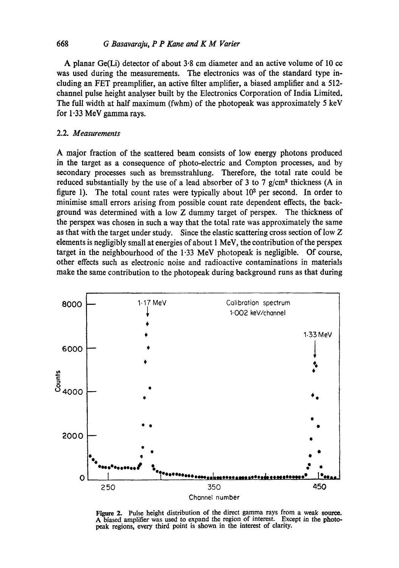# 668 *G Basavaraju, P P Kane and K M Varier*

A planar Ge(Li) detector of about  $3.8$  cm diameter and an active volume of 10 cc was used during the measurements. The electronics was of the standard type ineluding an FET preamplifier, an active filter amplifier, a biased amplifier and a 512 channel pulse height analyser built by the Electronics Corporation of India Limited. The full width at half maximum (fwhm) of the photopeak was approximately 5 keV for 1.33 MeV gamma rays.

# 2.2. *Measurements*

A major fraction of the scattered beam consists of low energy photons produced in the target as a consequence of photo-electric and Compton processes, and by secondary processes such as bremsstrahlung. Therefore, the total rate could be reduced substantially by the use of a lead absorber of 3 to 7  $g/cm^2$  thickness (A in figure 1). The total count rates were typically about  $10<sup>3</sup>$  per second. In order to minimise small errors arising from possible count rate dependent effects, the background was determined with a low Z dummy target of perspex. The thickness of the perspex was chosen in such a way that the total rate was approximately the same as that with the target under study. Since the elastic scattering cross section of low Z elements is negligibly small at energies of about 1 MeV, the contribution of the perspex target in the neighbourhood of the 1.33 MeV photopeak is negligible. Of course, other effects such as electronic noise and radioactive contaminations in materials make the same contribution to the photopeak during background runs as that during



Figure 2. Pulse height distribution of the direct gamma rays from a weak source. A biased amplifier was used to expand the region of interest. Except in the photopeak regions, every third point is shown in the interest of clarity.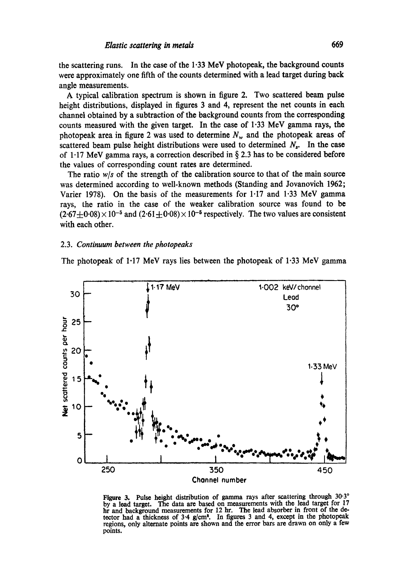the scattering runs. In the case of the  $1.33$  MeV photopeak, the background counts were approximately one fifth of the counts determined with a lead target during back angle measurements.

A typical calibration spectrum is shown in figure 2. Two scattered beam pulse height distributions, displayed in figures 3 and 4, represent the net counts in each channel obtained by a subtraction of the background counts from the corresponding counts measured with the given target. In the case of  $1.33$  MeV gamma rays, the photopeak area in figure 2 was used to determine  $N_w$  and the photopeak areas of scattered beam pulse height distributions were used to determined  $N_s$ . In the case of 1.17 MeV gamma rays, a correction described in  $\S 2.3$  has to be considered before the values of corresponding count rates are determined.

The ratio *w/s* of the strength of the calibration source to that of the main source was determined according to well-known methods (Standing and Jovanovich 1962; Varier 1978). On the basis of the measurements for 1.17 and 1.33 MeV gamma rays, the ratio in the case of the weaker calibration source was found to be  $(2.67\pm0.08)\times10^{-5}$  and  $(2.61\pm0.08)\times10^{-5}$  respectively. The two values are consistent with each other.

#### *2.3. Continuum between the photopeaks*

The photopeak of 1.17 MeV rays lies between the photopeak of 1.33 MeV gamma



Figure 3. Pulse height distribution of gamma rays after scattering through 30.3° by a lead target. The data are based on measurements with the lead target for 17 hr and background measurements for 12 hr. The lead absorber in front of **the de**tector had a thickness of 3.4 g/cm<sup>2</sup>. In figures 3 and 4, except in the photopeak regions, only alternate points are shown and the error bars are drawn on only a few points.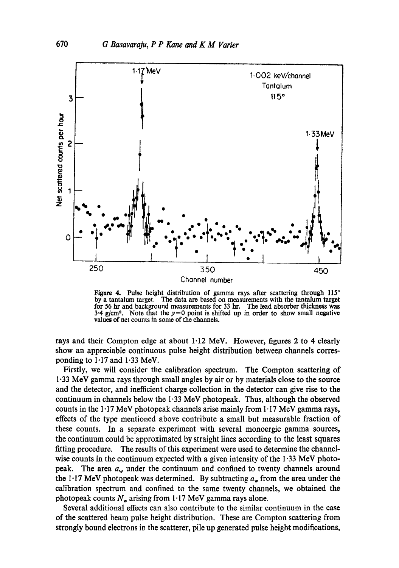

Figure 4. Pulse height distribution of gamma rays after scattering through  $115^\circ$ by a tantalum target. The data are based on measurements with the tantalum target for 56 hr and background measurements for 33 hr. The lead absorber thickness was 3.4 g/cm<sup>2</sup>. Note that the  $y=0$  point is shifted up in order to show small negative values of net counts in some of the channels.

rays and their Compton edge at about  $1.12$  MeV. However, figures 2 to 4 clearly show an appreciable continuous pulse height distribution between channels corresponding to 1.17 and 1.33 MeV.

Firstly, we will consider the calibration spectrum. The Compton scattering of 1.33 MeV gamma rays through small angles by air or by materials close to the source and the detector, and inefficient charge collection in the detector can give rise to the continuum in channels below the 1.33 MeV photopeak. Thus, although the observed counts in the  $1.17$  MeV photopeak channels arise mainly from  $1.17$  MeV gamma rays, effects of the type mentioned above contribute a small but measurable fraction of these counts. In a separate experiment with several monoergic gamma sources, the continuum could be approximated by straight lines according to the least squares fitting procedure. The results of this experiment were used to determine the channelwise counts in the continuum expected with a given intensity of the  $1.33$  MeV photopeak. The area  $a_w$  under the continuum and confined to twenty channels around the 1.17 MeV photopeak was determined. By subtracting  $a_w$  from the area under the calibration spectrum and confined to the same twenty channels, we obtained the photopeak counts  $N_w$  arising from 1.17 MeV gamma rays alone.

Several additional effects can also contribute to the similar continuum in the case of the scattered beam pulse height distribution. These are Compton scattering from strongly bound electrons in the scatterer, pile up generated pulse height modifications,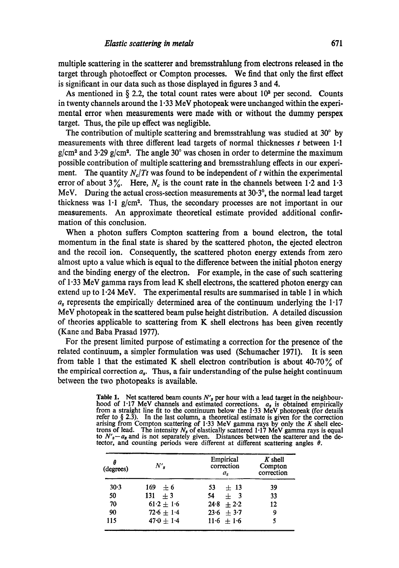multiple scattering in the scatterer and bremsstrahlung from electrons released in the target through photoeffect or Compton processes. We find that only the first effect is significant in our data such as those displayed in figures 3 and 4.

As mentioned in  $\S$  2.2, the total count rates were about  $10<sup>3</sup>$  per second. Counts in twenty channels around the 1.33 MeV photopeak were unchanged within the experimental error when measurements were made with or without the dummy perspex target. Thus, the pile up effect was negligible.

The contribution of multiple scattering and bremsstrahlung was studied at  $30^{\circ}$  by measurements with three different lead targets of normal thicknesses  $t$  between  $1 \cdot 1$  $g/cm<sup>2</sup>$  and 3.29 g/cm<sup>2</sup>. The angle 30° was chosen in order to determine the maximum possible contribution of multiple scattering and bremsstrahlung effects in our experiment. The quantity  $N_c/Tt$  was found to be independent of t within the experimental error of about 3%. Here,  $N_c$  is the count rate in the channels between 1.2 and 1.3 MeV. During the actual cross-section measurements at 30.3°, the normal lead target thickness was  $1 \cdot 1$  g/cm<sup>2</sup>. Thus, the secondary processes are not important in our measurements. An approximate theoretical estimate provided additional confirmation of this conclusion.

When a photon suffers Compton scattering from a bound electron, the total momentum in the final state is shared by the scattered photon, the ejected electron and the recoil ion. Consequently, the scattered photon energy extends from zero almost upto a value which is equal to the difference between the initial photon energy and the binding energy of the electron. For example, in the case of such scattering of 1"33 MeV gamma rays from lead K shell electrons, the scattered photon energy can extend up to 1.24 MeV. The experimental results are summarised in table 1 in which  $a<sub>s</sub>$  represents the empirically determined area of the continuum underlying the 1.17 MeV photopeak in the scattered beam pulse height distribution. A detailed discussion of theories applicable to scattering from K shell electrons has been given recently (Kane and Baba Prasad 1977).

For the present limited purpose of estimating a correction for the presence of the related continuum, a simpler formulation was used (Schumacher 1971). It is seen from table 1 that the estimated K shell electron contribution is about 40-70 $\%$  of the empirical correction  $a_s$ . Thus, a fair understanding of the pulse height continuum between the two photopeaks is available.

**Table 1. Net** scattered beam counts *N's* per hour with a lead target in the neighbourhood of 1.17 MeV channels and estimated corrections.  $a_s$  is obtained empirically from a straight line fit to the continuum below the 1.33 MeV photopeak (for details refer to § 2.3). In the last column, a theoretical estimate is given for the correction arising from Compton scattering of 1.33 MeV gamma rays by only the *K* shell electrons of lead. The intensity  $N_s$  of elastically scattered 1.17 MeV gamma rays is equal to  $N'_{s}-a_{s}$  and is not separately given. Distances between the scatterer and the detector, and counting periods were different at different scattering angles  $\theta$ .

| Α<br>(degrees) | N'           | Empirical<br>correction<br>a <sub>s</sub> | $K$ shell<br>Compton<br>correction |  |
|----------------|--------------|-------------------------------------------|------------------------------------|--|
| 30.3           | $169 + 6$    | 53.<br>$+13$                              | 39                                 |  |
| 50             | $131 + 3$    | 54<br>$+$ 3                               | 33                                 |  |
| 70             | $61.2 + 1.6$ | $24.8 + 2.2$                              | 12                                 |  |
| 90             | $72.6 + 1.4$ | $23.6 + 3.7$                              | 9                                  |  |
| 115            | $47.0 + 1.4$ | $11.6 + 1.6$                              |                                    |  |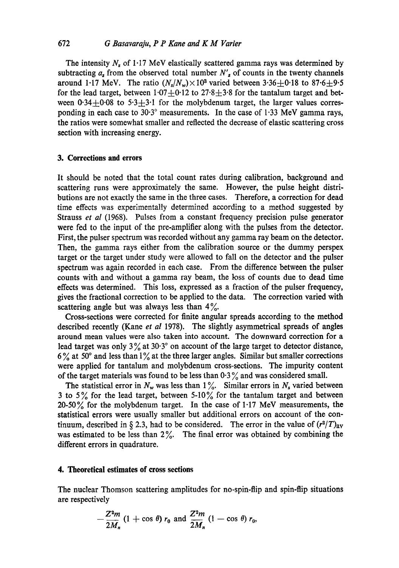The intensity  $N_s$  of 1.17 MeV elastically scattered gamma rays was determined by subtracting  $a_s$  from the observed total number  $N'_s$  of counts in the twenty channels around 1.17 MeV. The ratio  $(N_s/N_w) \times 10^3$  varied between 3.36+0.18 to 87.6 $\pm$ 9.5 for the lead target, between  $1.07+0.12$  to  $27.8+3.8$  for the tantalum target and between  $0.34+0.08$  to  $5.3+3.1$  for the molybdenum target, the larger values corresponding in each case to  $30.3^\circ$  measurements. In the case of 1.33 MeV gamma rays, the ratios were somewhat smaller and reflected the decrease of elastic scattering cross section with increasing energy.

# **3. Corrections and errors**

It should be noted that the total count rates during calibration, background and scattering runs were approximately the same. However, the pulse height distributions are not exactly the same in the three cases. Therefore, a correction for dead time effects was experimentally determined according to a method suggested by Strauss *et al* (1968). Pulses from a constant frequency precision pulse generator were fed to the input of the pre-amplifier along with the pulses from the detector. First, the pulser spectrum was recorded without any gamma ray beam on the detector. Then, the gamma rays either from the calibration source or the dummy perspex target or the target under study were allowed to fall on the detector and the pulser spectrum was again recorded in each case. From the difference between the pulser counts with and without a gamma ray beam, the toss of counts due to dead time effects was determined. This loss, expressed as a fraction of the pulser frequency, gives the fractional correction to be applied to the data. The correction varied with scattering angle but was always less than  $4\%$ .

Cross-sections were corrected for finite angular spreads according to the method described recently (Kane *et aI* 1978). The slightly asymmetrical spreads of angles around mean values were also taken into account. The downward correction for a lead target was only  $3\%$  at  $30.3^\circ$  on account of the large target to detector distance,  $6\%$  at 50° and less than  $1\%$  at the three larger angles. Similar but smaller corrections were applied for tantalum and molybdenum cross-sections. The impurity content of the target materials was found to be less than  $0.3\%$  and was considered small.

The statistical error in  $N_w$  was less than  $1\%$ . Similar errors in  $N_s$  varied between 3 to 5% for the lead target, between 5-10% for the tantalum target and between 20-50% for the molybdenum target. In the case of  $1.17$  MeV measurements, the statistical errors were usually smaller but additional errors on account of the continuum, described in § 2.3, had to be considered. The error in the value of  $(r^2/T)_{av}$ was estimated to be less than  $2\%$ . The final error was obtained by combining the different errors in quadrature.

## **4. Theoretical estimates of cross sections**

The nuclear Thomson scattering amplitudes for no-spin-flip and spin-flip situations are respectively

$$
-\frac{Z^2m}{2M_n}(1+\cos\theta)\,r_0\,\text{ and }\frac{Z^2m}{2M_n}(1-\cos\theta)\,r_0,
$$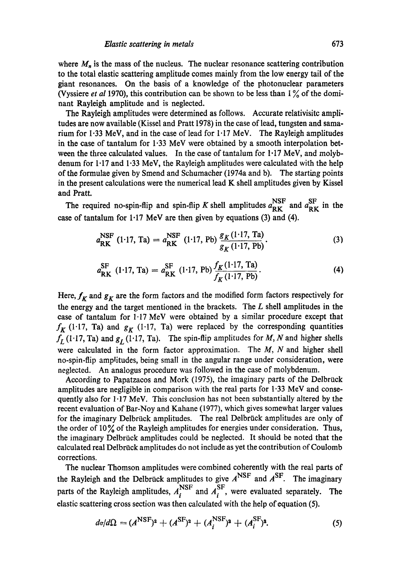where  $M_n$  is the mass of the nucleus. The nuclear resonance scattering contribution to the total elastic scattering amplitude comes mainly from the low energy tail of the giant resonances. On the basis of a knowledge of the photonuclear parameters (Vyssiere *et al* 1970), this contribution can be shown to be less than 1% of the dominant Rayleigh amplitude and is neglected.

The Rayleigh amplitudes were determined as follows. Accurate relativisitc amplitudes are now available (Kissel and Pratt 1978) in the case of lead, tungsten and samarium for 1.33 MeV, and in the case of lead for 1.17 MeV. The Rayleigh amplitudes in the case of tantalum for  $1.33$  MeV were obtained by a smooth interpolation between the three calculated values. In the case of tantalum for 1.17 MeV, and molybdenum for  $1.17$  and  $1.33$  MeV, the Rayleigh amplitudes were calculated with the help of the formulae given by Smend and Schumacher (1974a and b). The starting points in the present calculations were the numerical lead  $K$  shell amplitudes given by Kissel and Pratt.

The required no-spin-flip and spin-flip K shell amplitudes  $a_{\text{RK}}^{\text{NSF}}$  and  $a_{\text{RK}}^{\text{SF}}$  in the case of tantalum for  $1.17$  MeV are then given by equations (3) and (4).

$$
a_{\rm RK}^{\rm NSF} \text{ (1-17, Ta)} = a_{\rm RK}^{\rm NSF} \text{ (1-17, Pb)} \frac{g_K \text{(1-17, Ta)}}{g_K \text{(1-17, Pb)}}. \tag{3}
$$

$$
a_{\rm RK}^{\rm SF} \text{ (1-17, Ta)} = a_{\rm RK}^{\rm SF} \text{ (1-17, Pb)} \frac{f_K \text{(1-17, Ta)}}{f_K \text{(1-17, Pb)}}.
$$
 (4)

Here,  $f_K$  and  $g_K$  are the form factors and the modified form factors respectively for the energy and the target mentioned in the brackets. The  $L$  shell amplitudes in the case of tantalum for 1.17 MeV were obtained by a similar procedure except that  $f_K$  (1.17, Ta) and  $g_K$  (1.17, Ta) were replaced by the corresponding quantities  $f_L$  (1.17, Ta) and  $g_L$  (1.17, Ta). The spin-flip amplitudes for M, N and higher shells were calculated in the form factor approximation. The  $M$ ,  $N$  and higher shell no-spin-flip amplitudes, being small in the angular range under consideration, were neglected. An analogus procedure was followed in the case of molybdenum.

According to Papatzacos and Mork  $(1975)$ , the imaginary parts of the Delbrück amplitudes are negligible in comparison with the real parts for 1.33 MeV and consequently also for  $1.17 \text{ MeV}$ . This conclusion has not been substantially altered by the recent evaluation of Bar-Noy and Kahane (1977), which gives somewhat larger values for the imaginary Delbrück amplitudes. The real Delbrück amplitudes are only of the order of  $10\%$  of the Rayleigh amplitudes for energies under consideration. Thus, the imaginary Delbrück amplitudes could be neglected. It should be noted that the calculated real Delbrück amplitudes do not include as yet the contribution of Coulomb corrections.

The nuclear Thomson amplitudes were combined coherently with the real parts of the Rayleigh and the Delbrück amplitudes to give  $A<sup>NSF</sup>$  and  $A<sup>SF</sup>$ . The imaginary parts of the Rayleigh amplitudes,  $A_i^{NSF}$  and  $A_i^{S}$ , were evaluated separately. The elastic scattering cross section was then calculated with the help of equation (5).

$$
d\sigma/d\Omega = (A^{\text{NSF}})^2 + (A^{\text{SF}})^2 + (A_i^{\text{NSF}})^2 + (A_i^{\text{SF}})^2. \tag{5}
$$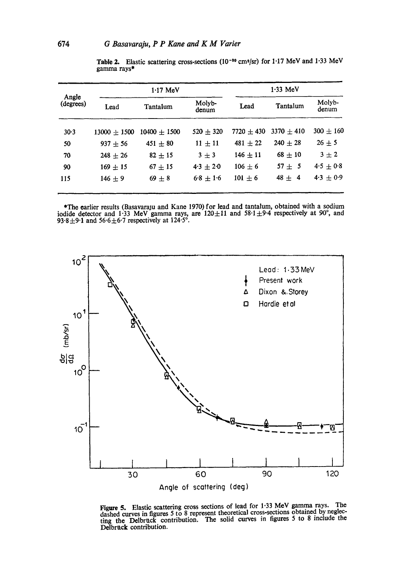| Angle<br>(degrees) | $1.17$ MeV     |                  |                 | $1.33$ MeV   |                |                 |
|--------------------|----------------|------------------|-----------------|--------------|----------------|-----------------|
|                    | Lead           | Tantalum         | Molyb-<br>denum | Lead         | Tantalum       | Molyb-<br>denum |
| 30.3               | $13000 + 1500$ | $10400 \pm 1500$ | $520 + 320$     | $7720 + 430$ | $3370 \pm 410$ | $300 \pm 160$   |
| 50                 | $937 + 56$     | $451 \pm 80$     | $11 \pm 11$     | $481 \pm 22$ | $240 \pm 28$   | $26 \pm 5$      |
| 70                 | $248 + 26$     | $82 + 15$        | $3 + 3$         | $146 + 11$   | $68 \pm 10$    | $3\pm2$         |
| 90                 | $169 \pm 15$   | $67 \pm 15$      | $4.3 \pm 2.0$   | $106 \pm 6$  | $57 + 5$       | $4.5 + 0.8$     |
| 115                | $146 + 9$      | $69 + 8$         | $6.8 \pm 1.6$   | $101 \pm 6$  | $48 \pm 4$     | $4.3 + 0.9$     |
|                    |                |                  |                 |              |                |                 |

Table 2. Elastic scattering cross-sections  $(10^{-30} \text{ cm}^2/\text{sr})$  for 1.17 MeV and 1.33 MeV gamma rays\*

\*The earlier results (Basavaraju and Kane 1970) for lead and tantalum, obtained with a sodium iodide detector and 1.33 MeV gamma rays, are  $120 \pm 11$  and  $58.1 \pm 9.4$  respectively at 90°, and 93.8 $\pm$ 9.1 and 56.6 $\pm$ 6.7 respectively at 124.5°.



Figure 5. Elastic scattering cross sections of lead for 1.33 MeV gamma rays. The dashed curves in figures 5 to 8 represent theoretical cross-sections obtained by neglecting the Delbruck contribution. The solid curves in figures  $5$  to 8 include the Delbruck contribution.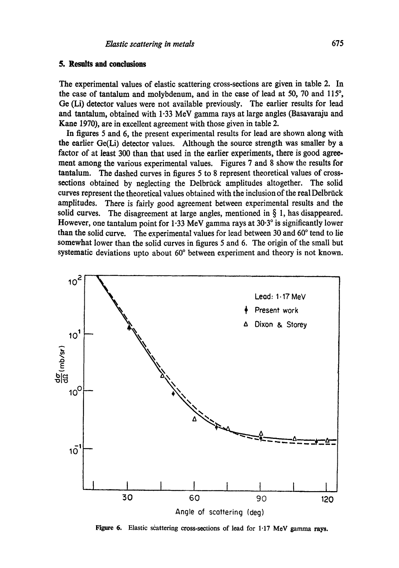# **5. Results and conclusions**

The experimental values of elastic scattering cross-sections are given in table 2. In the case of tantalum and molybdenum, and in the case of lead at 50, 70 and 115 $^{\circ}$ , Ge (Li) detector values were not available previously. The earlier results for lead and tantalum, obtained with 1.33 MeV gamma rays at large angles (Basavaraju and Kane 1970), are in excellent agreement with those given in table 2.

In figures 5 and 6, the present experimental results for lead are shown along with the earlier Ge(Li) detector values. Although the source strength was smaller by a factor of at least 300 than that used in the earlier experiments, there is good agreement among the various experimental values. Figures 7 and 8 show the results for tantalum. The dashed curves in figures 5 to 8 represent theoretical values of crosssections obtained by neglecting the Delbrück amplitudes altogether. The solid curves represent the theoretical values obtained with the inclusion of the real Delbrück amplitudes. There is fairly good agreement between experimental results and the solid curves. The disagreement at large angles, mentioned in  $\S$  1, has disappeared. However, one tantalum point for 1.33 MeV gamma rays at  $30.3^\circ$  is significantly lower than the solid curve. The experimental values for lead between  $30$  and  $60^{\circ}$  tend to lie somewhat lower than the solid curves in figures 5 and 6. The origin of the small but systematic deviations upto about  $60^{\circ}$  between experiment and theory is not known.



Figure 6. Elastic scattering cross-sections of lead for 1.17 MeV gamma rays.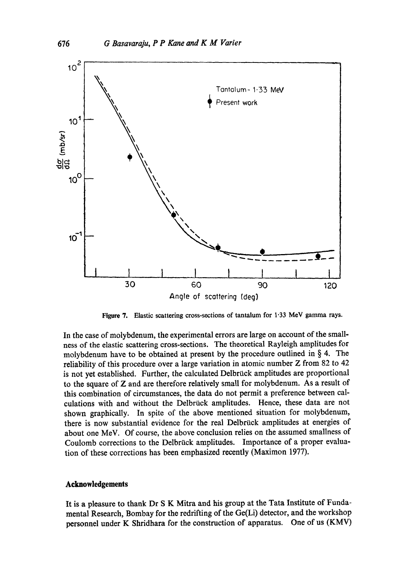

Figure 7. Elastic scattering cross-sections of tantalum for 1.33 MeV gamma rays.

In the case of molybdenum, the experimental errors are large on account of the smallness of the elastic scattering cross-sections. The theoretical Rayleigh amplitudes for molybdenum have to be obtained at present by the procedure outlined in  $\S$  4. The reliability of this procedure over a large variation in atomic number Z from 82 to 42 is not yet established. Further, the calculated Delbrück amplitudes are proportional to the square of Z and are therefore relatively small for molybdenum. As a result of this combination of circumstances, the data do not permit a preference between calculations with and without the Delbrück amplitudes. Hence, these data are not shown graphically. In spite of the above mentioned situation for molybdenum, there is now substantial evidence for the real Delbriick amplitudes at energies of about one MeV. Of course, the above conclusion relies on the assumed smallness of Coulomb corrections to the Delbrück amplitudes. Importance of a proper evaluation of these corrections has been emphasized recently (Maximon 1977).

# **Acknowledgements**

It is a pleasure to thank Dr S K Mitra and his group at the Tata Institute of Fundamental Research, Bombay for the redrifting of the Ge(Li) detector, and the workshop personnel under K Shridhara for the construction of apparatus. One of us (KMV)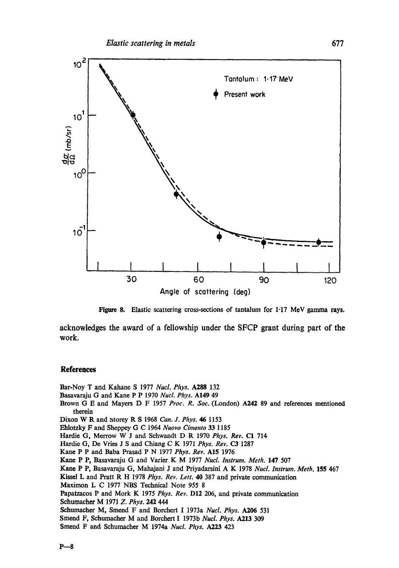

Figure 8. Elastic scattering cross-sections of tantalum for 1.17 MeV gamma rays.

acknowledges the award of a fellowship under the SFCP grant during part of the work.

## **References**

Bar-Nay T and Kahane S 1977 *Nucl. Phys. A288* 132

- Basavaraju G and Kane P P 1970 *Nucl. Phys.* A149 49
- Brown G E and Mayers D F 1957 *Prec. R. Sac.* (London) A242 89 and references mentioned therein
- Dixon W R and storey R S 1968 *Can. J. Phys. 46* 1153
- Ehlotzky F and Sheppey G C 1964 *Nuovo Cimento* 33 1185
- Hardie G, Merrow W J and Schwandt D R 1970 *Phys. Rev.* C1 714
- Hardie G, De Vries J S and Chiang C K 1971 Phys. Rev. C3 1287
- Kane P P and Baba Prasad P N 1977 *Phys. Rev.* A15 1976
- Kane P P, Basavaraju G and Varier K M 1977 *Nucl. Instrum. Meth.* 147 507
- Kane P P, Basavaraju G, Mahajani J and Priyadarsini A K 1978 *Nucl. Instrum. Meth.* 155 467
- Kissel L and Pratt R H 1978 *Phys. Rev. Lett.* 40 387 and private communication
- Maximon L C 1977 NBS Technical Note 955 8
- Papatzacos P and Mark K 1975 *Phys. Rev.* D12 206, and private communication Schumachex M 1971 *Z. Phys. 242 444*
- Schumacher M, Smend F and Borchert I 1973a *Nucl. Phys. A206* 531
- Smend F, Schumacher M and Borchert I 1973b *Nucl. Phys.* A213 309
- Smend F and Schumacher M 1974a *Nucl. Phys. A223* 423